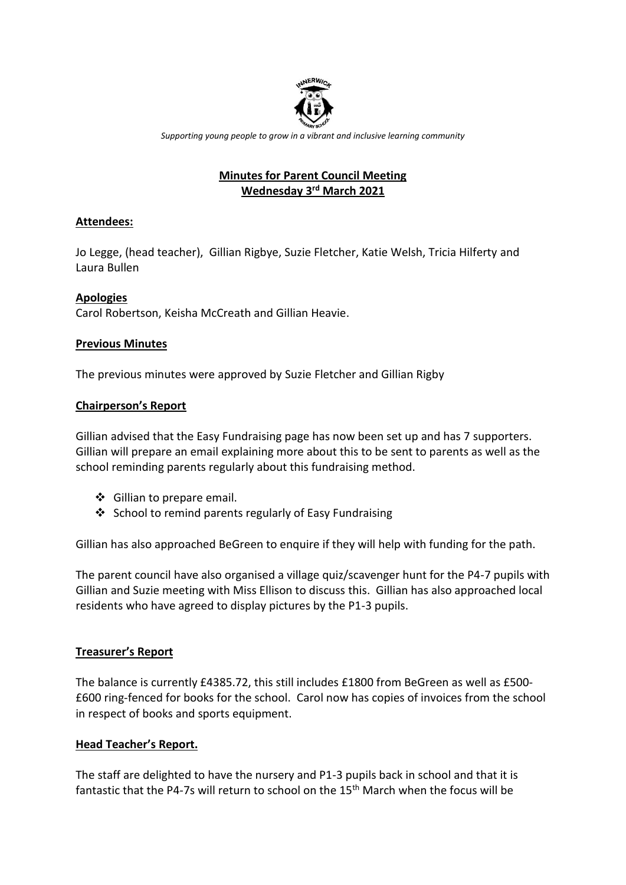

*Supporting young people to grow in a vibrant and inclusive learning community*

## **Minutes for Parent Council Meeting Wednesday 3 rd March 2021**

## **Attendees:**

Jo Legge, (head teacher), Gillian Rigbye, Suzie Fletcher, Katie Welsh, Tricia Hilferty and Laura Bullen

## **Apologies**

Carol Robertson, Keisha McCreath and Gillian Heavie.

## **Previous Minutes**

The previous minutes were approved by Suzie Fletcher and Gillian Rigby

## **Chairperson's Report**

Gillian advised that the Easy Fundraising page has now been set up and has 7 supporters. Gillian will prepare an email explaining more about this to be sent to parents as well as the school reminding parents regularly about this fundraising method.

- ❖ Gillian to prepare email.
- ❖ School to remind parents regularly of Easy Fundraising

Gillian has also approached BeGreen to enquire if they will help with funding for the path.

The parent council have also organised a village quiz/scavenger hunt for the P4-7 pupils with Gillian and Suzie meeting with Miss Ellison to discuss this. Gillian has also approached local residents who have agreed to display pictures by the P1-3 pupils.

# **Treasurer's Report**

The balance is currently £4385.72, this still includes £1800 from BeGreen as well as £500- £600 ring-fenced for books for the school. Carol now has copies of invoices from the school in respect of books and sports equipment.

## **Head Teacher's Report.**

The staff are delighted to have the nursery and P1-3 pupils back in school and that it is fantastic that the P4-7s will return to school on the 15th March when the focus will be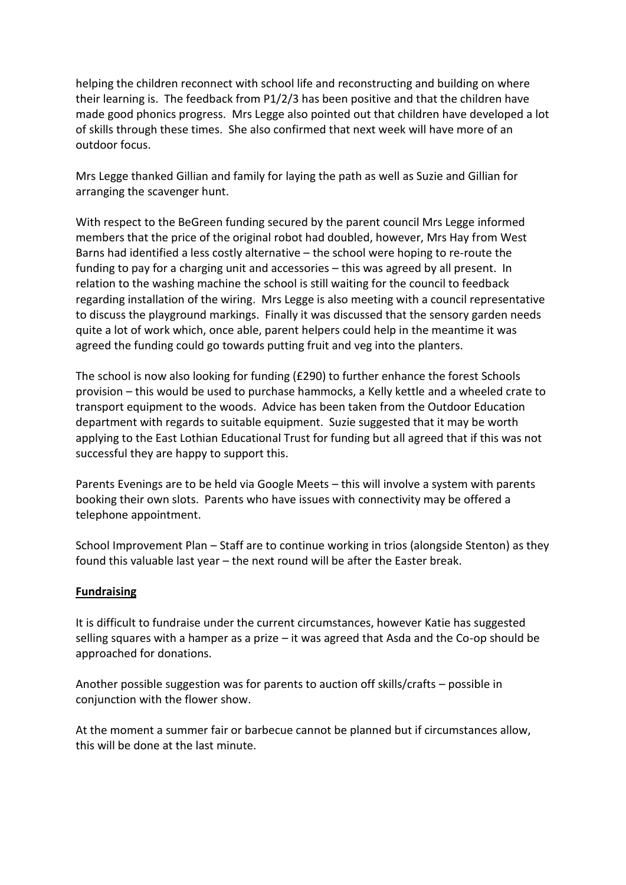helping the children reconnect with school life and reconstructing and building on where their learning is. The feedback from P1/2/3 has been positive and that the children have made good phonics progress. Mrs Legge also pointed out that children have developed a lot of skills through these times. She also confirmed that next week will have more of an outdoor focus.

Mrs Legge thanked Gillian and family for laying the path as well as Suzie and Gillian for arranging the scavenger hunt.

With respect to the BeGreen funding secured by the parent council Mrs Legge informed members that the price of the original robot had doubled, however, Mrs Hay from West Barns had identified a less costly alternative – the school were hoping to re-route the funding to pay for a charging unit and accessories – this was agreed by all present. In relation to the washing machine the school is still waiting for the council to feedback regarding installation of the wiring. Mrs Legge is also meeting with a council representative to discuss the playground markings. Finally it was discussed that the sensory garden needs quite a lot of work which, once able, parent helpers could help in the meantime it was agreed the funding could go towards putting fruit and veg into the planters.

The school is now also looking for funding (£290) to further enhance the forest Schools provision – this would be used to purchase hammocks, a Kelly kettle and a wheeled crate to transport equipment to the woods. Advice has been taken from the Outdoor Education department with regards to suitable equipment. Suzie suggested that it may be worth applying to the East Lothian Educational Trust for funding but all agreed that if this was not successful they are happy to support this.

Parents Evenings are to be held via Google Meets – this will involve a system with parents booking their own slots. Parents who have issues with connectivity may be offered a telephone appointment.

School Improvement Plan – Staff are to continue working in trios (alongside Stenton) as they found this valuable last year – the next round will be after the Easter break.

#### **Fundraising**

It is difficult to fundraise under the current circumstances, however Katie has suggested selling squares with a hamper as a prize  $-$  it was agreed that Asda and the Co-op should be approached for donations.

Another possible suggestion was for parents to auction off skills/crafts – possible in conjunction with the flower show.

At the moment a summer fair or barbecue cannot be planned but if circumstances allow, this will be done at the last minute.